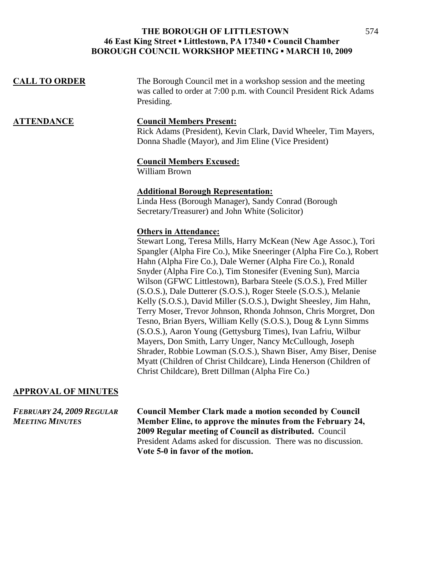| The Borough Council met in a workshop session and the meeting<br>was called to order at 7:00 p.m. with Council President Rick Adams<br>Presiding.                                                                                                                                                                                                                                                                                                                                                                                                                                                                                                                                                                                                                                                                                                                                                                                                                                |
|----------------------------------------------------------------------------------------------------------------------------------------------------------------------------------------------------------------------------------------------------------------------------------------------------------------------------------------------------------------------------------------------------------------------------------------------------------------------------------------------------------------------------------------------------------------------------------------------------------------------------------------------------------------------------------------------------------------------------------------------------------------------------------------------------------------------------------------------------------------------------------------------------------------------------------------------------------------------------------|
| <b>Council Members Present:</b><br>Rick Adams (President), Kevin Clark, David Wheeler, Tim Mayers,<br>Donna Shadle (Mayor), and Jim Eline (Vice President)                                                                                                                                                                                                                                                                                                                                                                                                                                                                                                                                                                                                                                                                                                                                                                                                                       |
| <b>Council Members Excused:</b><br>William Brown                                                                                                                                                                                                                                                                                                                                                                                                                                                                                                                                                                                                                                                                                                                                                                                                                                                                                                                                 |
| <b>Additional Borough Representation:</b><br>Linda Hess (Borough Manager), Sandy Conrad (Borough<br>Secretary/Treasurer) and John White (Solicitor)                                                                                                                                                                                                                                                                                                                                                                                                                                                                                                                                                                                                                                                                                                                                                                                                                              |
| <b>Others in Attendance:</b><br>Stewart Long, Teresa Mills, Harry McKean (New Age Assoc.), Tori<br>Spangler (Alpha Fire Co.), Mike Sneeringer (Alpha Fire Co.), Robert<br>Hahn (Alpha Fire Co.), Dale Werner (Alpha Fire Co.), Ronald<br>Snyder (Alpha Fire Co.), Tim Stonesifer (Evening Sun), Marcia<br>Wilson (GFWC Littlestown), Barbara Steele (S.O.S.), Fred Miller<br>(S.O.S.), Dale Dutterer (S.O.S.), Roger Steele (S.O.S.), Melanie<br>Kelly (S.O.S.), David Miller (S.O.S.), Dwight Sheesley, Jim Hahn,<br>Terry Moser, Trevor Johnson, Rhonda Johnson, Chris Morgret, Don<br>Tesno, Brian Byers, William Kelly (S.O.S.), Doug & Lynn Simms<br>(S.O.S.), Aaron Young (Gettysburg Times), Ivan Lafriu, Wilbur<br>Mayers, Don Smith, Larry Unger, Nancy McCullough, Joseph<br>Shrader, Robbie Lowman (S.O.S.), Shawn Biser, Amy Biser, Denise<br>Myatt (Children of Christ Childcare), Linda Henerson (Children of<br>Christ Childcare), Brett Dillman (Alpha Fire Co.) |
|                                                                                                                                                                                                                                                                                                                                                                                                                                                                                                                                                                                                                                                                                                                                                                                                                                                                                                                                                                                  |

# **APPROVAL OF MINUTES**

*FEBRUARY 24, 2009 REGULAR* **Council Member Clark made a motion seconded by Council**  Member Eline, to approve the minutes from the February 24, **2009 Regular meeting of Council as distributed.** Council President Adams asked for discussion. There was no discussion. **Vote 5-0 in favor of the motion.**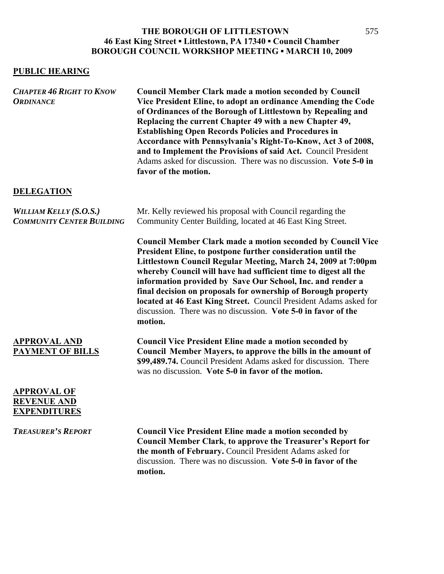### **PUBLIC HEARING**

| <b>CHAPTER 46 RIGHT TO KNOW</b><br><b>ORDINANCE</b>               | <b>Council Member Clark made a motion seconded by Council</b><br>Vice President Eline, to adopt an ordinance Amending the Code<br>of Ordinances of the Borough of Littlestown by Repealing and<br>Replacing the current Chapter 49 with a new Chapter 49,<br><b>Establishing Open Records Policies and Procedures in</b><br>Accordance with Pennsylvania's Right-To-Know, Act 3 of 2008,<br>and to Implement the Provisions of said Act. Council President<br>Adams asked for discussion. There was no discussion. Vote 5-0 in<br>favor of the motion. |
|-------------------------------------------------------------------|--------------------------------------------------------------------------------------------------------------------------------------------------------------------------------------------------------------------------------------------------------------------------------------------------------------------------------------------------------------------------------------------------------------------------------------------------------------------------------------------------------------------------------------------------------|
| <b>DELEGATION</b>                                                 |                                                                                                                                                                                                                                                                                                                                                                                                                                                                                                                                                        |
| <b>WILLIAM KELLY (S.O.S.)</b><br><b>COMMUNITY CENTER BUILDING</b> | Mr. Kelly reviewed his proposal with Council regarding the<br>Community Center Building, located at 46 East King Street.                                                                                                                                                                                                                                                                                                                                                                                                                               |
|                                                                   | <b>Council Member Clark made a motion seconded by Council Vice</b><br>President Eline, to postpone further consideration until the<br>Littlestown Council Regular Meeting, March 24, 2009 at 7:00pm<br>whereby Council will have had sufficient time to digest all the<br>information provided by Save Our School, Inc. and render a<br>final decision on proposals for ownership of Borough property<br>located at 46 East King Street. Council President Adams asked for<br>discussion. There was no discussion. Vote 5-0 in favor of the<br>motion. |
| <b>APPROVAL AND</b><br><b>PAYMENT OF BILLS</b>                    | <b>Council Vice President Eline made a motion seconded by</b><br>Council Member Mayers, to approve the bills in the amount of<br>\$99,489.74. Council President Adams asked for discussion. There<br>was no discussion. Vote 5-0 in favor of the motion.                                                                                                                                                                                                                                                                                               |
| <b>APPROVAL OF</b><br><b>REVENUE AND</b><br><b>EXPENDITURES</b>   |                                                                                                                                                                                                                                                                                                                                                                                                                                                                                                                                                        |
| <b>TREASURER'S REPORT</b>                                         | <b>Council Vice President Eline made a motion seconded by</b><br><b>Council Member Clark, to approve the Treasurer's Report for</b><br>the month of February. Council President Adams asked for<br>discussion. There was no discussion. Vote 5-0 in favor of the<br>motion.                                                                                                                                                                                                                                                                            |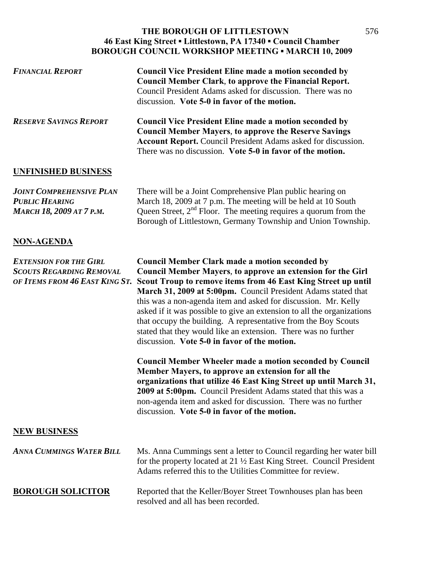| <b>FINANCIAL REPORT</b>                                                                            | <b>Council Vice President Eline made a motion seconded by</b><br>Council Member Clark, to approve the Financial Report.<br>Council President Adams asked for discussion. There was no<br>discussion. Vote 5-0 in favor of the motion.                                                                                                                                                                                                                                                                                                                                                         |
|----------------------------------------------------------------------------------------------------|-----------------------------------------------------------------------------------------------------------------------------------------------------------------------------------------------------------------------------------------------------------------------------------------------------------------------------------------------------------------------------------------------------------------------------------------------------------------------------------------------------------------------------------------------------------------------------------------------|
| <b>RESERVE SAVINGS REPORT</b>                                                                      | <b>Council Vice President Eline made a motion seconded by</b><br><b>Council Member Mayers, to approve the Reserve Savings</b><br><b>Account Report.</b> Council President Adams asked for discussion.<br>There was no discussion. Vote 5-0 in favor of the motion.                                                                                                                                                                                                                                                                                                                            |
| <b>UNFINISHED BUSINESS</b>                                                                         |                                                                                                                                                                                                                                                                                                                                                                                                                                                                                                                                                                                               |
| <b>JOINT COMPREHENSIVE PLAN</b><br><b>PUBLIC HEARING</b><br><b>MARCH 18, 2009 AT 7 P.M.</b>        | There will be a Joint Comprehensive Plan public hearing on<br>March 18, 2009 at 7 p.m. The meeting will be held at 10 South<br>Queen Street, $2nd$ Floor. The meeting requires a quorum from the<br>Borough of Littlestown, Germany Township and Union Township.                                                                                                                                                                                                                                                                                                                              |
| <b>NON-AGENDA</b>                                                                                  |                                                                                                                                                                                                                                                                                                                                                                                                                                                                                                                                                                                               |
| <b>EXTENSION FOR THE GIRL</b><br><b>SCOUTS REGARDING REMOVAL</b><br>OF ITEMS FROM 46 EAST KING ST. | <b>Council Member Clark made a motion seconded by</b><br><b>Council Member Mayers, to approve an extension for the Girl</b><br>Scout Troup to remove items from 46 East King Street up until<br>March 31, 2009 at 5:00pm. Council President Adams stated that<br>this was a non-agenda item and asked for discussion. Mr. Kelly<br>asked if it was possible to give an extension to all the organizations<br>that occupy the building. A representative from the Boy Scouts<br>stated that they would like an extension. There was no further<br>discussion. Vote 5-0 in favor of the motion. |
|                                                                                                    | <b>Council Member Wheeler made a motion seconded by Council</b><br>Member Mayers, to approve an extension for all the<br>organizations that utilize 46 East King Street up until March 31,<br>2009 at 5:00pm. Council President Adams stated that this was a<br>non-agenda item and asked for discussion. There was no further<br>discussion. Vote 5-0 in favor of the motion.                                                                                                                                                                                                                |
| <b>NEW BUSINESS</b>                                                                                |                                                                                                                                                                                                                                                                                                                                                                                                                                                                                                                                                                                               |
| <b>ANNA CUMMINGS WATER BILL</b>                                                                    | Ms. Anna Cummings sent a letter to Council regarding her water bill<br>for the property located at 21 $\frac{1}{2}$ East King Street. Council President<br>Adams referred this to the Utilities Committee for review.                                                                                                                                                                                                                                                                                                                                                                         |
| <b>BOROUGH SOLICITOR</b>                                                                           | Reported that the Keller/Boyer Street Townhouses plan has been<br>resolved and all has been recorded.                                                                                                                                                                                                                                                                                                                                                                                                                                                                                         |